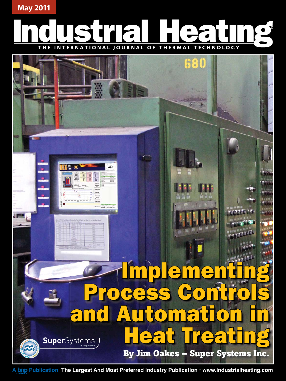**May 2011**

 $\frac{1}{2}$ 

**SS** 

#### $\overline{\mathbf{c}}$ INTERNATIONAL JOURNAL OF HNOLOGY THERMAL THE E C

SS,

680

# **Examplementing mplement**<br>
Trocess Cont<br>
and Automation<br> **ExperSystems**<br>
Treat Trea **By Jim Oakes – Super Systems Inc.**

**A Publication The Largest And Most Preferred Industry Publication • www.industrialheating.com**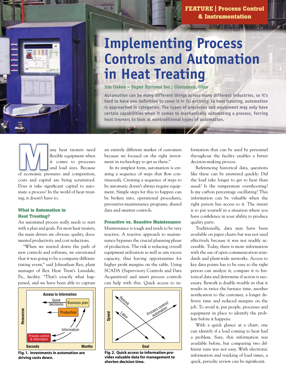**FEATURE | Process Control & Instrumentation**

*THE REAL PROPERTY* 

## **Implementing Process Controls and Automation in Heat Treating**

**Jim Oakes – Super Systems Inc.; Cincinnati, Ohio**

**Automation can be many different things across many different industries, so it's**  hard to have one definition to cover it in its entirety. In heat treating, automation **is approached in categories. The types of processes and equipment may only have certain capabilities when it comes to mechanically automating a process, forcing heat treaters to look at nontraditional types of automation.** 

any heat treaters need flexible equipment when it comes to processes and load sizes. Because any heat treaters need<br>flexible equipment when<br>it comes to processes<br>and load sizes. Because<br>of economic pressures and competition, costs and capital are being scrutinized. Does it take significant capital to automate a process? In the world of heat treating, it doesn't have to.

**FEATURE | Process Control & Instrumentation**

#### **What is Automation in Heat Treating?**

An automated process really needs to start with a plan and goals. For most heat treaters, the main drivers are obvious: quality, documented productivity and cost reductions.

 "When we started down the path of new controls and software, we envisioned that it was going to be a company-differentiating event," said Johnathan Rex, plant manager of Rex Heat Treat's Lansdale, Pa., facility. "That's exactly what happened, and we have been able to capture



**Fig. 1. Investments in automation are driving costs down.**

an entirely different market of customers because we focused on the right investment in technology to get us there."

 In its simplest form, automation is creating a sequence of steps that flow continuously. Creating a sequence of steps to be automatic doesn't always require equipment. Simple steps for this to happen can be broken into, operational procedures, preventive-maintenance programs, shared data and smarter controls.

#### **Proactive vs. Reactive Maintenance**

Maintenance is tough and tends to be very reactive. A reactive approach to maintenance bypasses the crucial planning phase of production. The risk is reducing overall equipment utilization as well as any excess capacity, thus having opportunities for higher profit margins on the table. Using SCADA (Supervisory Controls and Data Acquisition) and smart process controls can help with this. Quick access to in-



**Fig. 2. Quick access to information provides valuable data for management to shorten decision time.**

formation that can be used by personnel throughout the facility enables a better decision-making process.

 Referencing historical data, questions like these can be answered quickly: Did the load take longer to get to heat than usual? Is the temperature overshooting? Is my carbon percentage oscillating? This information can be valuable when the right person has access to it. The intent is to put yourself in a situation where you have confidence in your ability to produce quality parts.

 Traditionally, data may have been available on paper charts but was not used effectively because it was not readily accessible. Today, there is more information with the use of open communication standards and plant-wide networks. Access to key data points has to be easy so the right person can analyze it, compare it to historical data and determine if action is necessary. Rework is double trouble in that it results in twice the furnace time, another notification to the customer, a longer delivery time and reduced margins on the job. To avoid it, put people, processes and equipment in place to identify the problem before it happens.

 With a quick glance at a chart, one can identify if a load coming to heat had a problem. Sure, this information was available before, but comparing two different runs was not easy. With electronic information and tracking of load times, a quick, periodic review can be significant.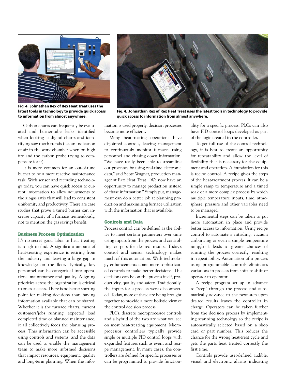

**Fig. 4. Johnathan Rex of Rex Heat Treat uses the latest tools in technology to provide quick access to information from almost anywhere.**

 Carbon charts can frequently be evaluated and burner-tube leaks identified when looking at digital charts and identifying saw-tooth trends (i.e. an indication of air in the work chamber when on high fire and the carbon probe trying to compensate for it).

 It is more common for an out-of-tune burner to be a more reactive maintenance task. With sensor and recording technology today, you can have quick access to current information to allow adjustments to the air-gas ratio that will lead to consistent uniformity and productivity. There are case studies that prove a tuned burner can increase capacity of a furnace tremendously, not to mention the gas savings benefit.

#### **Business Process Optimization**

It's no secret good labor in heat treating is tough to find. A significant amount of heat-treating experience is retiring from the industry and leaving a large gap in knowledge on the floor. Typically, key personnel can be categorized into operations, maintenance and quality. Aligning priorities across the organization is critical to one's success. There is no better starting point for making decisions than having information available that can be shared. Whether it is the furnace charts, current customers/jobs running, expected load completed time or planned maintenance, it all collectively feeds the planning process. This information can be accessible using controls and systems, and the data can be used to enable the management team to make more informed decisions that impact resources, equipment, quality and long-term planning. When the infor-



**Fig. 4. Johnathan Rex of Rex Heat Treat uses the latest tools in technology to provide quick access to information from almost anywhere.**

mation is used properly, decision processes become more efficient.

 Many heat-treating operations have disjointed controls, leaving management to continuously monitor furnaces using personnel and chasing down information. "We have really been able to streamline our processes by using real-time electronic data," said Scott Wagner, production manager at Rex Heat Treat. "We now have an opportunity to manage production instead of chase information." Simply put, management can do a better job at planning production and maximizing furnace utilization with the information that is available.

#### **Controls and Data**

Process control can be defined as the ability to meet certain parameters over time using inputs from the process and controlling outputs for desired results. Today's control and sensor technology makes much of this automation. With technology enhancements come more sophisticated controls to make better decisions. The decisions can be on the process itself, productivity, quality and safety. Traditionally, the inputs for a process were disconnected. Today, more of these are being brought together to provide a more holistic view of the control decision process.

 PLCs, discrete microprocessor controls and a hybrid of the two are what you see on most heat-treating equipment. Microprocessor controllers typically provide single or multiple PID control loops with expanded features such as event and recipe management. In many cases, the controllers are defined for specific processes or can be programmed to provide function-

ality for a specific process. PLCs can also have PID control loops developed as part of the logic created in the controller.

 To get full use of the control technology, it is best to create an opportunity for repeatability and allow the level of flexibility that is necessary for the equipment and operation. A foundation for this is recipe control. A recipe gives the steps of the heat-treatment process. It can be a simple ramp to temperature and a timed soak or a more complex process by which multiple temperature inputs, time, atmosphere, pressure and other variables need to be managed.

 Incremental steps can be taken to put more automation in place and provide better access to information. Using recipe control to automate a nitriding, vacuum carburizing or even a simple temperature ramp/soak leads to greater chances of running the process correctly, resulting in repeatability. Automation of a process using programmable controls eliminates variations in process from shift to shift or operator to operator.

 A recipe program set up in advance to "step" through the process and automatically advance to the next step upon desired results leaves the controller in charge. Operators can be taken further from the decision process by implementing scanning technology so the recipe is automatically selected based on a shop card or part number. This reduces the chance for the wrong heat-treat cycle and gets the parts heat treated correctly the first time.

Controls provide user-defined audible, visual and electronic alarms indicating